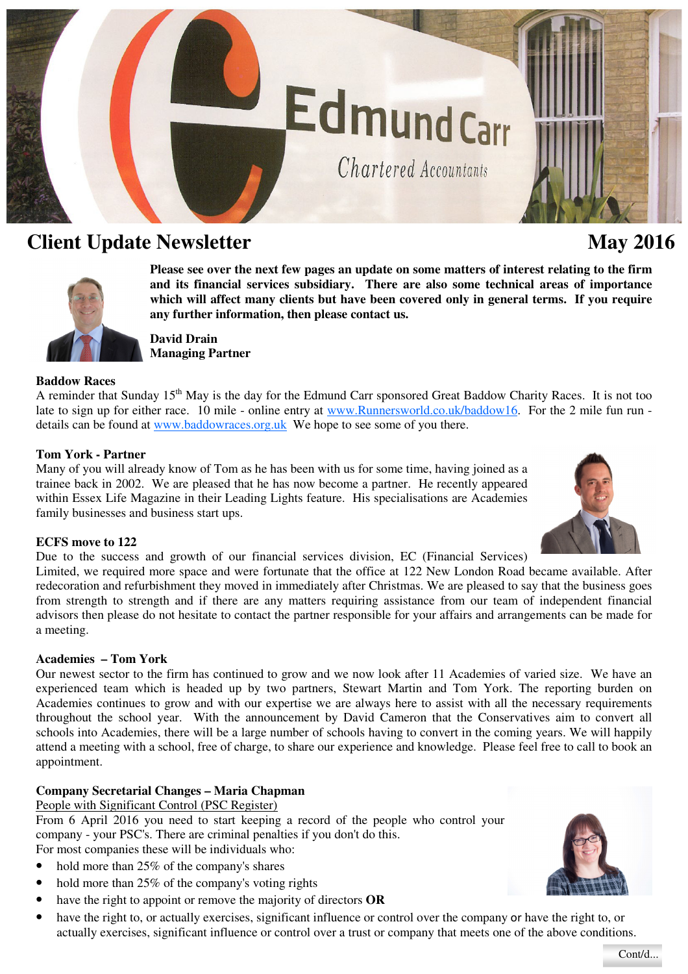# Edmundcarr

Chartered Accountants

## **Client Update Newsletter May 2016 May 2016**

**Please see over the next few pages an update on some matters of interest relating to the firm and its financial services subsidiary. There are also some technical areas of importance which will affect many clients but have been covered only in general terms. If you require any further information, then please contact us.** 

**David Drain Managing Partner** 

#### **Baddow Races**

A reminder that Sunday 15<sup>th</sup> May is the day for the Edmund Carr sponsored Great Baddow Charity Races. It is not too late to sign up for either race. 10 mile - online entry at www.Runnersworld.co.uk/baddow16. For the 2 mile fun run details can be found at www.baddowraces.org.uk We hope to see some of you there.

#### **Tom York - Partner**

Many of you will already know of Tom as he has been with us for some time, having joined as a trainee back in 2002. We are pleased that he has now become a partner. He recently appeared within Essex Life Magazine in their Leading Lights feature. His specialisations are Academies family businesses and business start ups.

#### **ECFS move to 122**

Due to the success and growth of our financial services division, EC (Financial Services)

Limited, we required more space and were fortunate that the office at 122 New London Road became available. After redecoration and refurbishment they moved in immediately after Christmas. We are pleased to say that the business goes from strength to strength and if there are any matters requiring assistance from our team of independent financial advisors then please do not hesitate to contact the partner responsible for your affairs and arrangements can be made for a meeting.

#### **Academies – Tom York**

Our newest sector to the firm has continued to grow and we now look after 11 Academies of varied size. We have an experienced team which is headed up by two partners, Stewart Martin and Tom York. The reporting burden on Academies continues to grow and with our expertise we are always here to assist with all the necessary requirements throughout the school year. With the announcement by David Cameron that the Conservatives aim to convert all schools into Academies, there will be a large number of schools having to convert in the coming years. We will happily attend a meeting with a school, free of charge, to share our experience and knowledge. Please feel free to call to book an appointment.

### **Company Secretarial Changes – Maria Chapman**

People with Significant Control (PSC Register)

From 6 April 2016 you need to start keeping a record of the people who control your company - your PSC's. There are criminal penalties if you don't do this. For most companies these will be individuals who:

- hold more than 25% of the company's shares
- hold more than 25% of the company's voting rights
- have the right to appoint or remove the majority of directors **OR**
- have the right to, or actually exercises, significant influence or control over the company or have the right to, or actually exercises, significant influence or control over a trust or company that meets one of the above conditions.









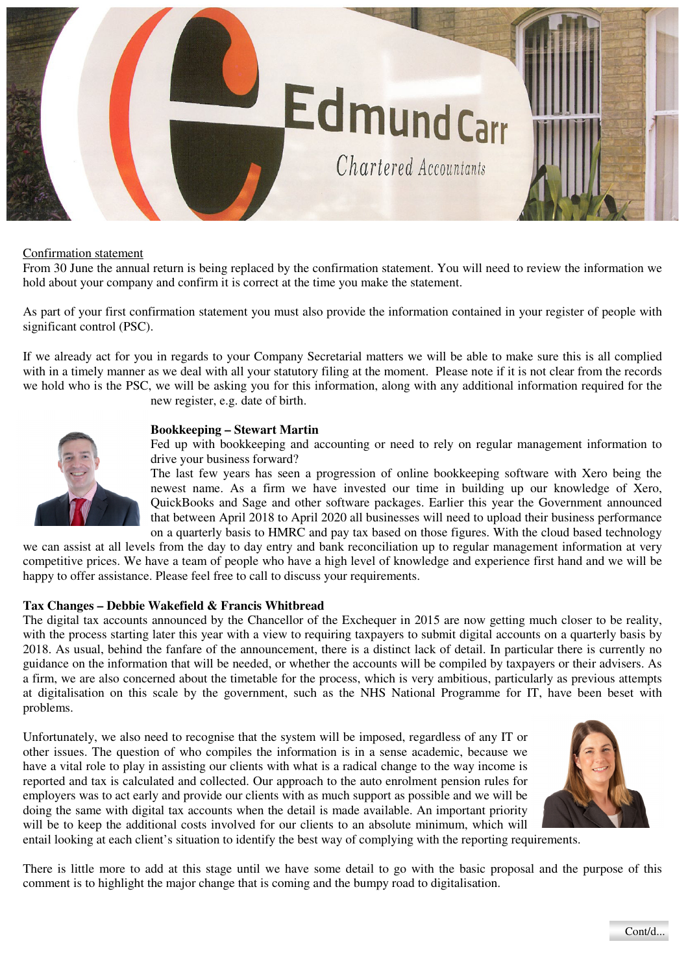

#### Confirmation statement

From 30 June the annual return is being replaced by the confirmation statement. You will need to review the information we hold about your company and confirm it is correct at the time you make the statement.

As part of your first confirmation statement you must also provide the information contained in your register of people with significant control (PSC).

If we already act for you in regards to your Company Secretarial matters we will be able to make sure this is all complied with in a timely manner as we deal with all your statutory filing at the moment. Please note if it is not clear from the records we hold who is the PSC, we will be asking you for this information, along with any additional information required for the new register, e.g. date of birth.



Fed up with bookkeeping and accounting or need to rely on regular management information to drive your business forward?

The last few years has seen a progression of online bookkeeping software with Xero being the newest name. As a firm we have invested our time in building up our knowledge of Xero, QuickBooks and Sage and other software packages. Earlier this year the Government announced that between April 2018 to April 2020 all businesses will need to upload their business performance on a quarterly basis to HMRC and pay tax based on those figures. With the cloud based technology

we can assist at all levels from the day to day entry and bank reconciliation up to regular management information at very competitive prices. We have a team of people who have a high level of knowledge and experience first hand and we will be happy to offer assistance. Please feel free to call to discuss your requirements.

#### **Tax Changes – Debbie Wakefield & Francis Whitbread**

The digital tax accounts announced by the Chancellor of the Exchequer in 2015 are now getting much closer to be reality, with the process starting later this year with a view to requiring taxpayers to submit digital accounts on a quarterly basis by 2018. As usual, behind the fanfare of the announcement, there is a distinct lack of detail. In particular there is currently no guidance on the information that will be needed, or whether the accounts will be compiled by taxpayers or their advisers. As a firm, we are also concerned about the timetable for the process, which is very ambitious, particularly as previous attempts at digitalisation on this scale by the government, such as the NHS National Programme for IT, have been beset with problems.

Unfortunately, we also need to recognise that the system will be imposed, regardless of any IT or other issues. The question of who compiles the information is in a sense academic, because we have a vital role to play in assisting our clients with what is a radical change to the way income is reported and tax is calculated and collected. Our approach to the auto enrolment pension rules for employers was to act early and provide our clients with as much support as possible and we will be doing the same with digital tax accounts when the detail is made available. An important priority will be to keep the additional costs involved for our clients to an absolute minimum, which will



entail looking at each client's situation to identify the best way of complying with the reporting requirements.

There is little more to add at this stage until we have some detail to go with the basic proposal and the purpose of this comment is to highlight the major change that is coming and the bumpy road to digitalisation.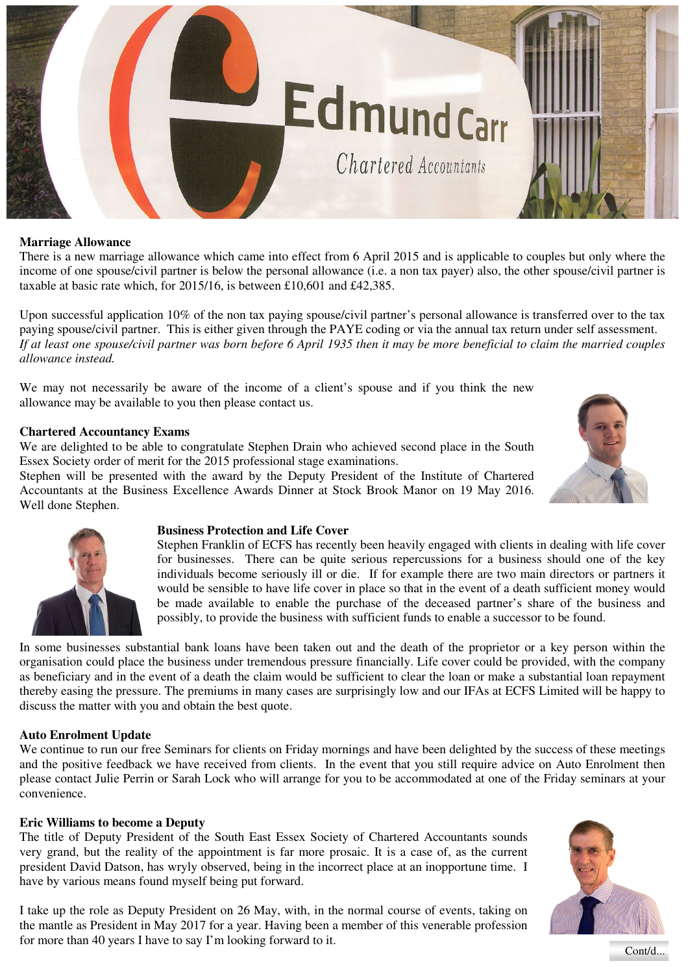

#### **Marriage Allowance**

There is a new marriage allowance which came into effect from 6 April 2015 and is applicable to couples but only where the income of one spouse/civil partner is below the personal allowance (i.e. a non tax payer) also, the other spouse/civil partner is taxable at basic rate which, for 2015/16, is between £10,601 and £42,385.

Upon successful application 10% of the non tax paying spouse/civil partner's personal allowance is transferred over to the tax paying spouse/civil partner. This is either given through the PAYE coding or via the annual tax return under self assessment. *If at least one spouse/civil partner was born before 6 April 1935 then it may be more beneficial to claim the married couples allowance instead.* 

We may not necessarily be aware of the income of a client's spouse and if you think the new allowance may be available to you then please contact us.

#### **Chartered Accountancy Exams**

We are delighted to be able to congratulate Stephen Drain who achieved second place in the South Essex Society order of merit for the 2015 professional stage examinations.

Stephen will be presented with the award by the Deputy President of the Institute of Chartered Accountants at the Business Excellence Awards Dinner at Stock Brook Manor on 19 May 2016. Well done Stephen.





#### **Business Protection and Life Cover**

Stephen Franklin of ECFS has recently been heavily engaged with clients in dealing with life cover for businesses. There can be quite serious repercussions for a business should one of the key individuals become seriously ill or die. If for example there are two main directors or partners it would be sensible to have life cover in place so that in the event of a death sufficient money would be made available to enable the purchase of the deceased partner's share of the business and possibly, to provide the business with sufficient funds to enable a successor to be found.

In some businesses substantial bank loans have been taken out and the death of the proprietor or a key person within the organisation could place the business under tremendous pressure financially. Life cover could be provided, with the company as beneficiary and in the event of a death the claim would be sufficient to clear the loan or make a substantial loan repayment thereby easing the pressure. The premiums in many cases are surprisingly low and our IFAs at ECFS Limited will be happy to discuss the matter with you and obtain the best quote.

#### **Auto Enrolment Update**

We continue to run our free Seminars for clients on Friday mornings and have been delighted by the success of these meetings and the positive feedback we have received from clients. In the event that you still require advice on Auto Enrolment then please contact Julie Perrin or Sarah Lock who will arrange for you to be accommodated at one of the Friday seminars at your convenience.

#### **Eric Williams to become a Deputy**

The title of Deputy President of the South East Essex Society of Chartered Accountants sounds very grand, but the reality of the appointment is far more prosaic. It is a case of, as the current president David Datson, has wryly observed, being in the incorrect place at an inopportune time. I have by various means found myself being put forward.

I take up the role as Deputy President on 26 May, with, in the normal course of events, taking on the mantle as President in May 2017 for a year. Having been a member of this venerable profession for more than 40 years I have to say I'm looking forward to it.



Cont/d...